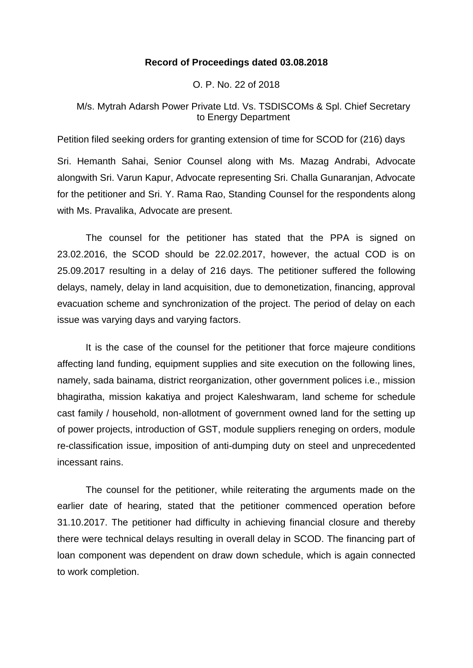## **Record of Proceedings dated 03.08.2018**

O. P. No. 22 of 2018

# M/s. Mytrah Adarsh Power Private Ltd. Vs. TSDISCOMs & Spl. Chief Secretary to Energy Department

Petition filed seeking orders for granting extension of time for SCOD for (216) days

Sri. Hemanth Sahai, Senior Counsel along with Ms. Mazag Andrabi, Advocate alongwith Sri. Varun Kapur, Advocate representing Sri. Challa Gunaranjan, Advocate for the petitioner and Sri. Y. Rama Rao, Standing Counsel for the respondents along with Ms. Pravalika, Advocate are present.

The counsel for the petitioner has stated that the PPA is signed on 23.02.2016, the SCOD should be 22.02.2017, however, the actual COD is on 25.09.2017 resulting in a delay of 216 days. The petitioner suffered the following delays, namely, delay in land acquisition, due to demonetization, financing, approval evacuation scheme and synchronization of the project. The period of delay on each issue was varying days and varying factors.

It is the case of the counsel for the petitioner that force majeure conditions affecting land funding, equipment supplies and site execution on the following lines, namely, sada bainama, district reorganization, other government polices i.e., mission bhagiratha, mission kakatiya and project Kaleshwaram, land scheme for schedule cast family / household, non-allotment of government owned land for the setting up of power projects, introduction of GST, module suppliers reneging on orders, module re-classification issue, imposition of anti-dumping duty on steel and unprecedented incessant rains.

The counsel for the petitioner, while reiterating the arguments made on the earlier date of hearing, stated that the petitioner commenced operation before 31.10.2017. The petitioner had difficulty in achieving financial closure and thereby there were technical delays resulting in overall delay in SCOD. The financing part of loan component was dependent on draw down schedule, which is again connected to work completion.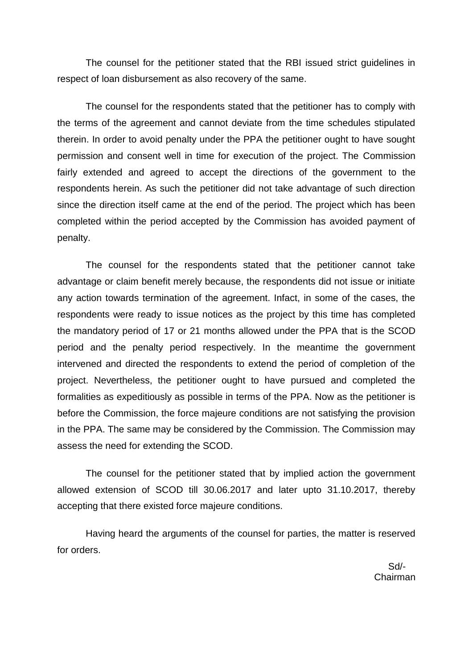The counsel for the petitioner stated that the RBI issued strict guidelines in respect of loan disbursement as also recovery of the same.

The counsel for the respondents stated that the petitioner has to comply with the terms of the agreement and cannot deviate from the time schedules stipulated therein. In order to avoid penalty under the PPA the petitioner ought to have sought permission and consent well in time for execution of the project. The Commission fairly extended and agreed to accept the directions of the government to the respondents herein. As such the petitioner did not take advantage of such direction since the direction itself came at the end of the period. The project which has been completed within the period accepted by the Commission has avoided payment of penalty.

The counsel for the respondents stated that the petitioner cannot take advantage or claim benefit merely because, the respondents did not issue or initiate any action towards termination of the agreement. Infact, in some of the cases, the respondents were ready to issue notices as the project by this time has completed the mandatory period of 17 or 21 months allowed under the PPA that is the SCOD period and the penalty period respectively. In the meantime the government intervened and directed the respondents to extend the period of completion of the project. Nevertheless, the petitioner ought to have pursued and completed the formalities as expeditiously as possible in terms of the PPA. Now as the petitioner is before the Commission, the force majeure conditions are not satisfying the provision in the PPA. The same may be considered by the Commission. The Commission may assess the need for extending the SCOD.

The counsel for the petitioner stated that by implied action the government allowed extension of SCOD till 30.06.2017 and later upto 31.10.2017, thereby accepting that there existed force majeure conditions.

Having heard the arguments of the counsel for parties, the matter is reserved for orders.

 Sd/- Chairman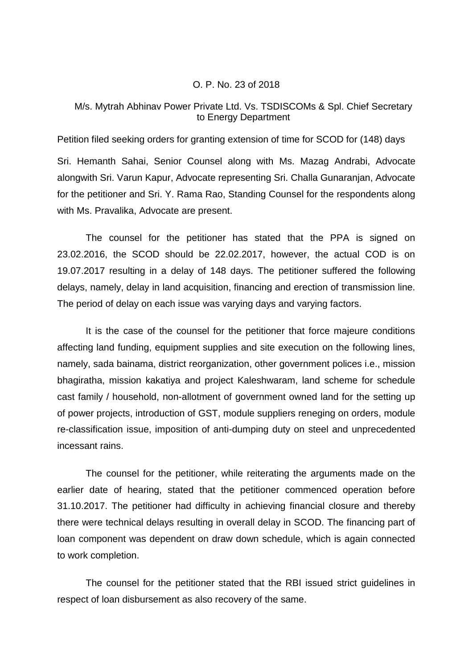#### O. P. No. 23 of 2018

# M/s. Mytrah Abhinav Power Private Ltd. Vs. TSDISCOMs & Spl. Chief Secretary to Energy Department

Petition filed seeking orders for granting extension of time for SCOD for (148) days

Sri. Hemanth Sahai, Senior Counsel along with Ms. Mazag Andrabi, Advocate alongwith Sri. Varun Kapur, Advocate representing Sri. Challa Gunaranjan, Advocate for the petitioner and Sri. Y. Rama Rao, Standing Counsel for the respondents along with Ms. Pravalika, Advocate are present.

The counsel for the petitioner has stated that the PPA is signed on 23.02.2016, the SCOD should be 22.02.2017, however, the actual COD is on 19.07.2017 resulting in a delay of 148 days. The petitioner suffered the following delays, namely, delay in land acquisition, financing and erection of transmission line. The period of delay on each issue was varying days and varying factors.

It is the case of the counsel for the petitioner that force majeure conditions affecting land funding, equipment supplies and site execution on the following lines, namely, sada bainama, district reorganization, other government polices i.e., mission bhagiratha, mission kakatiya and project Kaleshwaram, land scheme for schedule cast family / household, non-allotment of government owned land for the setting up of power projects, introduction of GST, module suppliers reneging on orders, module re-classification issue, imposition of anti-dumping duty on steel and unprecedented incessant rains.

The counsel for the petitioner, while reiterating the arguments made on the earlier date of hearing, stated that the petitioner commenced operation before 31.10.2017. The petitioner had difficulty in achieving financial closure and thereby there were technical delays resulting in overall delay in SCOD. The financing part of loan component was dependent on draw down schedule, which is again connected to work completion.

The counsel for the petitioner stated that the RBI issued strict guidelines in respect of loan disbursement as also recovery of the same.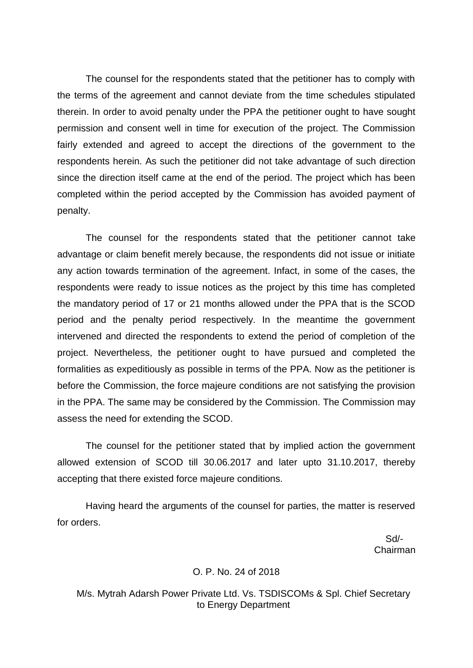The counsel for the respondents stated that the petitioner has to comply with the terms of the agreement and cannot deviate from the time schedules stipulated therein. In order to avoid penalty under the PPA the petitioner ought to have sought permission and consent well in time for execution of the project. The Commission fairly extended and agreed to accept the directions of the government to the respondents herein. As such the petitioner did not take advantage of such direction since the direction itself came at the end of the period. The project which has been completed within the period accepted by the Commission has avoided payment of penalty.

The counsel for the respondents stated that the petitioner cannot take advantage or claim benefit merely because, the respondents did not issue or initiate any action towards termination of the agreement. Infact, in some of the cases, the respondents were ready to issue notices as the project by this time has completed the mandatory period of 17 or 21 months allowed under the PPA that is the SCOD period and the penalty period respectively. In the meantime the government intervened and directed the respondents to extend the period of completion of the project. Nevertheless, the petitioner ought to have pursued and completed the formalities as expeditiously as possible in terms of the PPA. Now as the petitioner is before the Commission, the force majeure conditions are not satisfying the provision in the PPA. The same may be considered by the Commission. The Commission may assess the need for extending the SCOD.

The counsel for the petitioner stated that by implied action the government allowed extension of SCOD till 30.06.2017 and later upto 31.10.2017, thereby accepting that there existed force majeure conditions.

Having heard the arguments of the counsel for parties, the matter is reserved for orders.

 Sd/- Chairman

#### O. P. No. 24 of 2018

M/s. Mytrah Adarsh Power Private Ltd. Vs. TSDISCOMs & Spl. Chief Secretary to Energy Department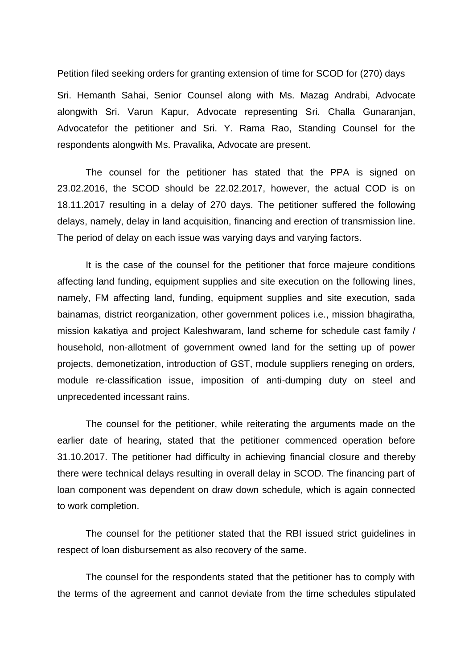Petition filed seeking orders for granting extension of time for SCOD for (270) days

Sri. Hemanth Sahai, Senior Counsel along with Ms. Mazag Andrabi, Advocate alongwith Sri. Varun Kapur, Advocate representing Sri. Challa Gunaranjan, Advocatefor the petitioner and Sri. Y. Rama Rao, Standing Counsel for the respondents alongwith Ms. Pravalika, Advocate are present.

The counsel for the petitioner has stated that the PPA is signed on 23.02.2016, the SCOD should be 22.02.2017, however, the actual COD is on 18.11.2017 resulting in a delay of 270 days. The petitioner suffered the following delays, namely, delay in land acquisition, financing and erection of transmission line. The period of delay on each issue was varying days and varying factors.

It is the case of the counsel for the petitioner that force majeure conditions affecting land funding, equipment supplies and site execution on the following lines, namely, FM affecting land, funding, equipment supplies and site execution, sada bainamas, district reorganization, other government polices i.e., mission bhagiratha, mission kakatiya and project Kaleshwaram, land scheme for schedule cast family / household, non-allotment of government owned land for the setting up of power projects, demonetization, introduction of GST, module suppliers reneging on orders, module re-classification issue, imposition of anti-dumping duty on steel and unprecedented incessant rains.

The counsel for the petitioner, while reiterating the arguments made on the earlier date of hearing, stated that the petitioner commenced operation before 31.10.2017. The petitioner had difficulty in achieving financial closure and thereby there were technical delays resulting in overall delay in SCOD. The financing part of loan component was dependent on draw down schedule, which is again connected to work completion.

The counsel for the petitioner stated that the RBI issued strict guidelines in respect of loan disbursement as also recovery of the same.

The counsel for the respondents stated that the petitioner has to comply with the terms of the agreement and cannot deviate from the time schedules stipulated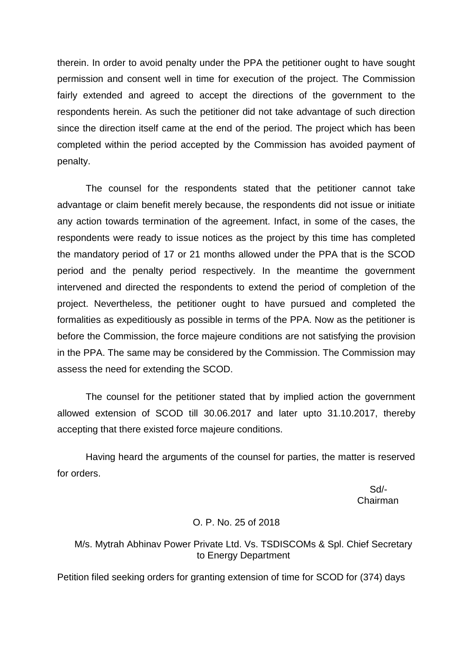therein. In order to avoid penalty under the PPA the petitioner ought to have sought permission and consent well in time for execution of the project. The Commission fairly extended and agreed to accept the directions of the government to the respondents herein. As such the petitioner did not take advantage of such direction since the direction itself came at the end of the period. The project which has been completed within the period accepted by the Commission has avoided payment of penalty.

The counsel for the respondents stated that the petitioner cannot take advantage or claim benefit merely because, the respondents did not issue or initiate any action towards termination of the agreement. Infact, in some of the cases, the respondents were ready to issue notices as the project by this time has completed the mandatory period of 17 or 21 months allowed under the PPA that is the SCOD period and the penalty period respectively. In the meantime the government intervened and directed the respondents to extend the period of completion of the project. Nevertheless, the petitioner ought to have pursued and completed the formalities as expeditiously as possible in terms of the PPA. Now as the petitioner is before the Commission, the force majeure conditions are not satisfying the provision in the PPA. The same may be considered by the Commission. The Commission may assess the need for extending the SCOD.

The counsel for the petitioner stated that by implied action the government allowed extension of SCOD till 30.06.2017 and later upto 31.10.2017, thereby accepting that there existed force majeure conditions.

Having heard the arguments of the counsel for parties, the matter is reserved for orders.

 Sd/ in the contract of the contract of the contract of the contract of the contract of the contract of the contract of the contract of the contract of the contract of the contract of the contract of the contract of the contrac

## O. P. No. 25 of 2018

## M/s. Mytrah Abhinav Power Private Ltd. Vs. TSDISCOMs & Spl. Chief Secretary to Energy Department

Petition filed seeking orders for granting extension of time for SCOD for (374) days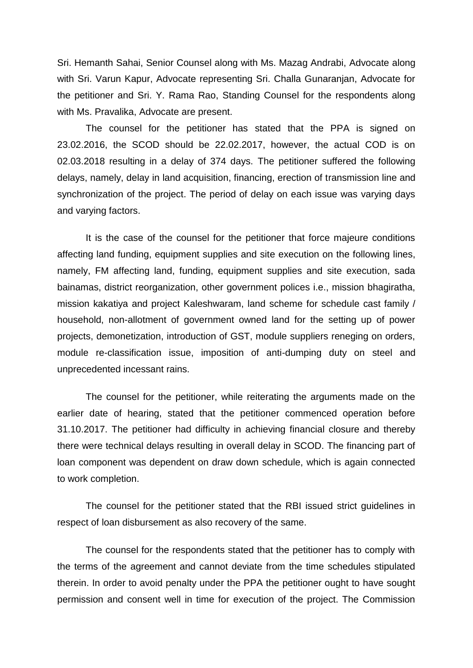Sri. Hemanth Sahai, Senior Counsel along with Ms. Mazag Andrabi, Advocate along with Sri. Varun Kapur, Advocate representing Sri. Challa Gunaranjan, Advocate for the petitioner and Sri. Y. Rama Rao, Standing Counsel for the respondents along with Ms. Pravalika, Advocate are present.

The counsel for the petitioner has stated that the PPA is signed on 23.02.2016, the SCOD should be 22.02.2017, however, the actual COD is on 02.03.2018 resulting in a delay of 374 days. The petitioner suffered the following delays, namely, delay in land acquisition, financing, erection of transmission line and synchronization of the project. The period of delay on each issue was varying days and varying factors.

It is the case of the counsel for the petitioner that force majeure conditions affecting land funding, equipment supplies and site execution on the following lines, namely, FM affecting land, funding, equipment supplies and site execution, sada bainamas, district reorganization, other government polices i.e., mission bhagiratha, mission kakatiya and project Kaleshwaram, land scheme for schedule cast family / household, non-allotment of government owned land for the setting up of power projects, demonetization, introduction of GST, module suppliers reneging on orders, module re-classification issue, imposition of anti-dumping duty on steel and unprecedented incessant rains.

The counsel for the petitioner, while reiterating the arguments made on the earlier date of hearing, stated that the petitioner commenced operation before 31.10.2017. The petitioner had difficulty in achieving financial closure and thereby there were technical delays resulting in overall delay in SCOD. The financing part of loan component was dependent on draw down schedule, which is again connected to work completion.

The counsel for the petitioner stated that the RBI issued strict guidelines in respect of loan disbursement as also recovery of the same.

The counsel for the respondents stated that the petitioner has to comply with the terms of the agreement and cannot deviate from the time schedules stipulated therein. In order to avoid penalty under the PPA the petitioner ought to have sought permission and consent well in time for execution of the project. The Commission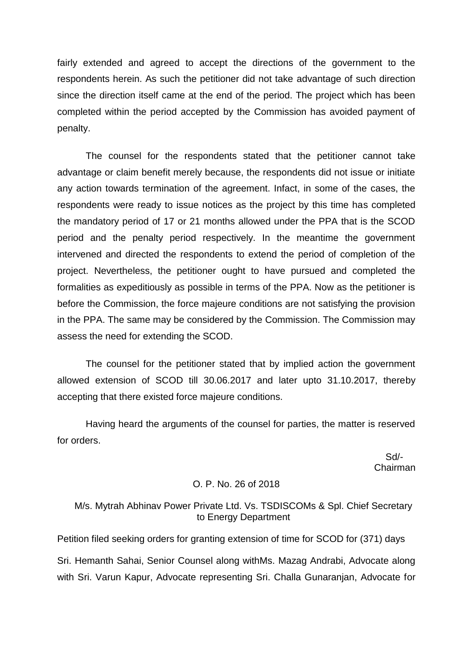fairly extended and agreed to accept the directions of the government to the respondents herein. As such the petitioner did not take advantage of such direction since the direction itself came at the end of the period. The project which has been completed within the period accepted by the Commission has avoided payment of penalty.

The counsel for the respondents stated that the petitioner cannot take advantage or claim benefit merely because, the respondents did not issue or initiate any action towards termination of the agreement. Infact, in some of the cases, the respondents were ready to issue notices as the project by this time has completed the mandatory period of 17 or 21 months allowed under the PPA that is the SCOD period and the penalty period respectively. In the meantime the government intervened and directed the respondents to extend the period of completion of the project. Nevertheless, the petitioner ought to have pursued and completed the formalities as expeditiously as possible in terms of the PPA. Now as the petitioner is before the Commission, the force majeure conditions are not satisfying the provision in the PPA. The same may be considered by the Commission. The Commission may assess the need for extending the SCOD.

The counsel for the petitioner stated that by implied action the government allowed extension of SCOD till 30.06.2017 and later upto 31.10.2017, thereby accepting that there existed force majeure conditions.

Having heard the arguments of the counsel for parties, the matter is reserved for orders.

 Sd/- Chairman

## O. P. No. 26 of 2018

## M/s. Mytrah Abhinav Power Private Ltd. Vs. TSDISCOMs & Spl. Chief Secretary to Energy Department

Petition filed seeking orders for granting extension of time for SCOD for (371) days Sri. Hemanth Sahai, Senior Counsel along withMs. Mazag Andrabi, Advocate along with Sri. Varun Kapur, Advocate representing Sri. Challa Gunaranjan, Advocate for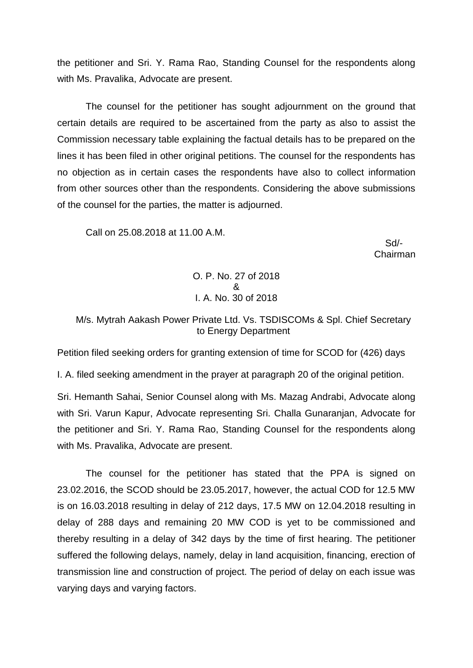the petitioner and Sri. Y. Rama Rao, Standing Counsel for the respondents along with Ms. Pravalika, Advocate are present.

The counsel for the petitioner has sought adjournment on the ground that certain details are required to be ascertained from the party as also to assist the Commission necessary table explaining the factual details has to be prepared on the lines it has been filed in other original petitions. The counsel for the respondents has no objection as in certain cases the respondents have also to collect information from other sources other than the respondents. Considering the above submissions of the counsel for the parties, the matter is adjourned.

Call on 25.08.2018 at 11.00 A.M.

 Sd/- Chairman

> O. P. No. 27 of 2018 & I. A. No. 30 of 2018

M/s. Mytrah Aakash Power Private Ltd. Vs. TSDISCOMs & Spl. Chief Secretary to Energy Department

Petition filed seeking orders for granting extension of time for SCOD for (426) days

I. A. filed seeking amendment in the prayer at paragraph 20 of the original petition.

Sri. Hemanth Sahai, Senior Counsel along with Ms. Mazag Andrabi, Advocate along with Sri. Varun Kapur, Advocate representing Sri. Challa Gunaranjan, Advocate for the petitioner and Sri. Y. Rama Rao, Standing Counsel for the respondents along with Ms. Pravalika, Advocate are present.

The counsel for the petitioner has stated that the PPA is signed on 23.02.2016, the SCOD should be 23.05.2017, however, the actual COD for 12.5 MW is on 16.03.2018 resulting in delay of 212 days, 17.5 MW on 12.04.2018 resulting in delay of 288 days and remaining 20 MW COD is yet to be commissioned and thereby resulting in a delay of 342 days by the time of first hearing. The petitioner suffered the following delays, namely, delay in land acquisition, financing, erection of transmission line and construction of project. The period of delay on each issue was varying days and varying factors.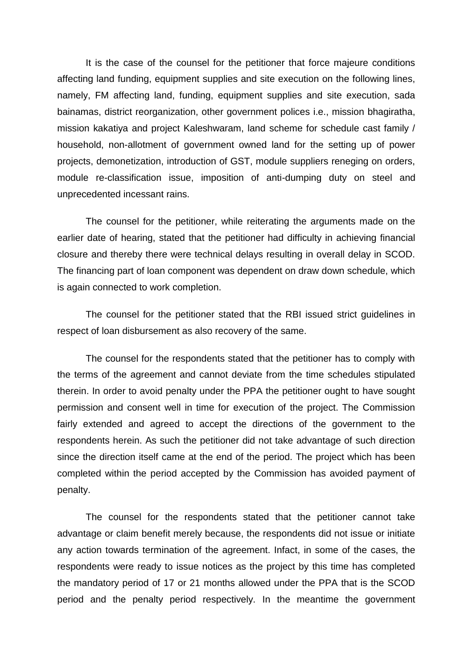It is the case of the counsel for the petitioner that force majeure conditions affecting land funding, equipment supplies and site execution on the following lines, namely, FM affecting land, funding, equipment supplies and site execution, sada bainamas, district reorganization, other government polices i.e., mission bhagiratha, mission kakatiya and project Kaleshwaram, land scheme for schedule cast family / household, non-allotment of government owned land for the setting up of power projects, demonetization, introduction of GST, module suppliers reneging on orders, module re-classification issue, imposition of anti-dumping duty on steel and unprecedented incessant rains.

The counsel for the petitioner, while reiterating the arguments made on the earlier date of hearing, stated that the petitioner had difficulty in achieving financial closure and thereby there were technical delays resulting in overall delay in SCOD. The financing part of loan component was dependent on draw down schedule, which is again connected to work completion.

The counsel for the petitioner stated that the RBI issued strict guidelines in respect of loan disbursement as also recovery of the same.

The counsel for the respondents stated that the petitioner has to comply with the terms of the agreement and cannot deviate from the time schedules stipulated therein. In order to avoid penalty under the PPA the petitioner ought to have sought permission and consent well in time for execution of the project. The Commission fairly extended and agreed to accept the directions of the government to the respondents herein. As such the petitioner did not take advantage of such direction since the direction itself came at the end of the period. The project which has been completed within the period accepted by the Commission has avoided payment of penalty.

The counsel for the respondents stated that the petitioner cannot take advantage or claim benefit merely because, the respondents did not issue or initiate any action towards termination of the agreement. Infact, in some of the cases, the respondents were ready to issue notices as the project by this time has completed the mandatory period of 17 or 21 months allowed under the PPA that is the SCOD period and the penalty period respectively. In the meantime the government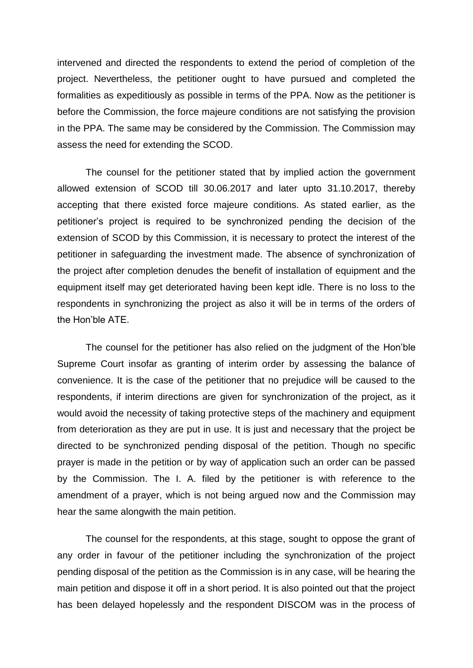intervened and directed the respondents to extend the period of completion of the project. Nevertheless, the petitioner ought to have pursued and completed the formalities as expeditiously as possible in terms of the PPA. Now as the petitioner is before the Commission, the force majeure conditions are not satisfying the provision in the PPA. The same may be considered by the Commission. The Commission may assess the need for extending the SCOD.

The counsel for the petitioner stated that by implied action the government allowed extension of SCOD till 30.06.2017 and later upto 31.10.2017, thereby accepting that there existed force majeure conditions. As stated earlier, as the petitioner's project is required to be synchronized pending the decision of the extension of SCOD by this Commission, it is necessary to protect the interest of the petitioner in safeguarding the investment made. The absence of synchronization of the project after completion denudes the benefit of installation of equipment and the equipment itself may get deteriorated having been kept idle. There is no loss to the respondents in synchronizing the project as also it will be in terms of the orders of the Hon'ble ATE.

The counsel for the petitioner has also relied on the judgment of the Hon'ble Supreme Court insofar as granting of interim order by assessing the balance of convenience. It is the case of the petitioner that no prejudice will be caused to the respondents, if interim directions are given for synchronization of the project, as it would avoid the necessity of taking protective steps of the machinery and equipment from deterioration as they are put in use. It is just and necessary that the project be directed to be synchronized pending disposal of the petition. Though no specific prayer is made in the petition or by way of application such an order can be passed by the Commission. The I. A. filed by the petitioner is with reference to the amendment of a prayer, which is not being argued now and the Commission may hear the same alongwith the main petition.

The counsel for the respondents, at this stage, sought to oppose the grant of any order in favour of the petitioner including the synchronization of the project pending disposal of the petition as the Commission is in any case, will be hearing the main petition and dispose it off in a short period. It is also pointed out that the project has been delayed hopelessly and the respondent DISCOM was in the process of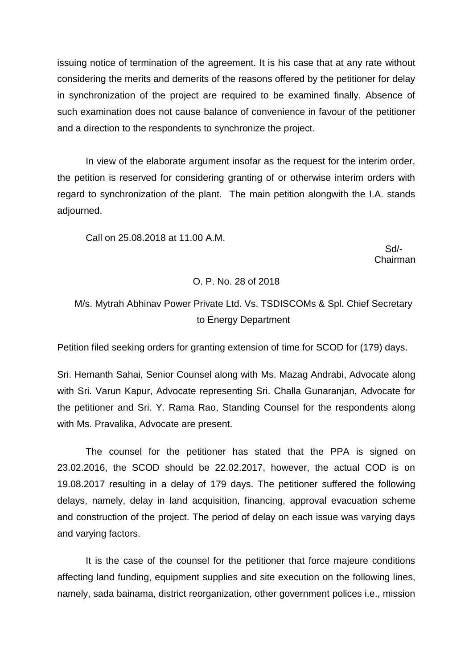issuing notice of termination of the agreement. It is his case that at any rate without considering the merits and demerits of the reasons offered by the petitioner for delay in synchronization of the project are required to be examined finally. Absence of such examination does not cause balance of convenience in favour of the petitioner and a direction to the respondents to synchronize the project.

In view of the elaborate argument insofar as the request for the interim order, the petition is reserved for considering granting of or otherwise interim orders with regard to synchronization of the plant. The main petition alongwith the I.A. stands adjourned.

Call on 25.08.2018 at 11.00 A.M.

 Sd/- Chairman

### O. P. No. 28 of 2018

# M/s. Mytrah Abhinav Power Private Ltd. Vs. TSDISCOMs & Spl. Chief Secretary to Energy Department

Petition filed seeking orders for granting extension of time for SCOD for (179) days.

Sri. Hemanth Sahai, Senior Counsel along with Ms. Mazag Andrabi, Advocate along with Sri. Varun Kapur, Advocate representing Sri. Challa Gunaranjan, Advocate for the petitioner and Sri. Y. Rama Rao, Standing Counsel for the respondents along with Ms. Pravalika, Advocate are present.

The counsel for the petitioner has stated that the PPA is signed on 23.02.2016, the SCOD should be 22.02.2017, however, the actual COD is on 19.08.2017 resulting in a delay of 179 days. The petitioner suffered the following delays, namely, delay in land acquisition, financing, approval evacuation scheme and construction of the project. The period of delay on each issue was varying days and varying factors.

It is the case of the counsel for the petitioner that force majeure conditions affecting land funding, equipment supplies and site execution on the following lines, namely, sada bainama, district reorganization, other government polices i.e., mission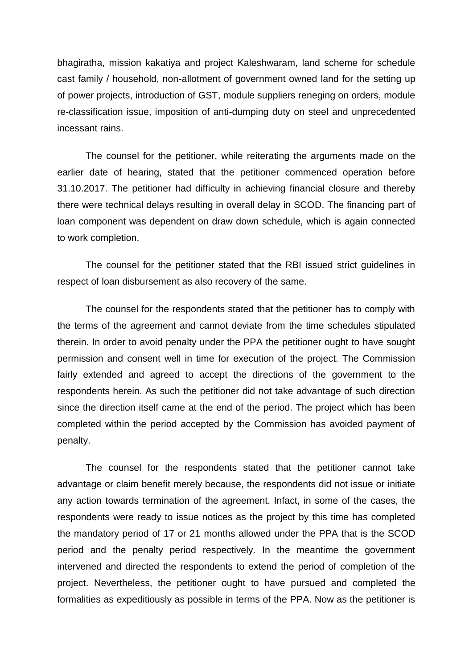bhagiratha, mission kakatiya and project Kaleshwaram, land scheme for schedule cast family / household, non-allotment of government owned land for the setting up of power projects, introduction of GST, module suppliers reneging on orders, module re-classification issue, imposition of anti-dumping duty on steel and unprecedented incessant rains.

The counsel for the petitioner, while reiterating the arguments made on the earlier date of hearing, stated that the petitioner commenced operation before 31.10.2017. The petitioner had difficulty in achieving financial closure and thereby there were technical delays resulting in overall delay in SCOD. The financing part of loan component was dependent on draw down schedule, which is again connected to work completion.

The counsel for the petitioner stated that the RBI issued strict guidelines in respect of loan disbursement as also recovery of the same.

The counsel for the respondents stated that the petitioner has to comply with the terms of the agreement and cannot deviate from the time schedules stipulated therein. In order to avoid penalty under the PPA the petitioner ought to have sought permission and consent well in time for execution of the project. The Commission fairly extended and agreed to accept the directions of the government to the respondents herein. As such the petitioner did not take advantage of such direction since the direction itself came at the end of the period. The project which has been completed within the period accepted by the Commission has avoided payment of penalty.

The counsel for the respondents stated that the petitioner cannot take advantage or claim benefit merely because, the respondents did not issue or initiate any action towards termination of the agreement. Infact, in some of the cases, the respondents were ready to issue notices as the project by this time has completed the mandatory period of 17 or 21 months allowed under the PPA that is the SCOD period and the penalty period respectively. In the meantime the government intervened and directed the respondents to extend the period of completion of the project. Nevertheless, the petitioner ought to have pursued and completed the formalities as expeditiously as possible in terms of the PPA. Now as the petitioner is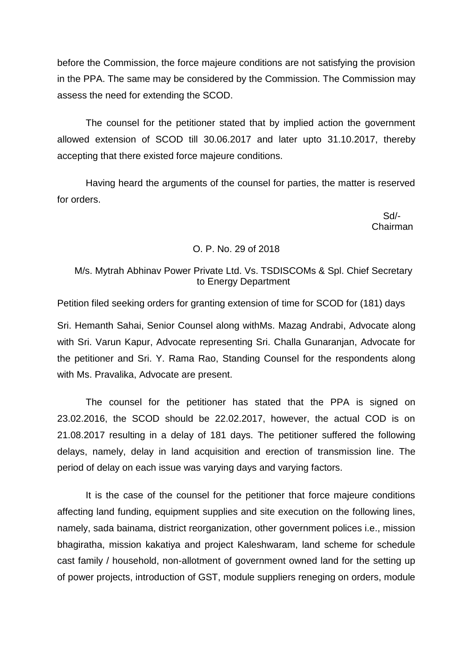before the Commission, the force majeure conditions are not satisfying the provision in the PPA. The same may be considered by the Commission. The Commission may assess the need for extending the SCOD.

The counsel for the petitioner stated that by implied action the government allowed extension of SCOD till 30.06.2017 and later upto 31.10.2017, thereby accepting that there existed force majeure conditions.

Having heard the arguments of the counsel for parties, the matter is reserved for orders.

> Sd/- Chairman

### O. P. No. 29 of 2018

# M/s. Mytrah Abhinav Power Private Ltd. Vs. TSDISCOMs & Spl. Chief Secretary to Energy Department

Petition filed seeking orders for granting extension of time for SCOD for (181) days

Sri. Hemanth Sahai, Senior Counsel along withMs. Mazag Andrabi, Advocate along with Sri. Varun Kapur, Advocate representing Sri. Challa Gunaranjan, Advocate for the petitioner and Sri. Y. Rama Rao, Standing Counsel for the respondents along with Ms. Pravalika, Advocate are present.

The counsel for the petitioner has stated that the PPA is signed on 23.02.2016, the SCOD should be 22.02.2017, however, the actual COD is on 21.08.2017 resulting in a delay of 181 days. The petitioner suffered the following delays, namely, delay in land acquisition and erection of transmission line. The period of delay on each issue was varying days and varying factors.

It is the case of the counsel for the petitioner that force majeure conditions affecting land funding, equipment supplies and site execution on the following lines, namely, sada bainama, district reorganization, other government polices i.e., mission bhagiratha, mission kakatiya and project Kaleshwaram, land scheme for schedule cast family / household, non-allotment of government owned land for the setting up of power projects, introduction of GST, module suppliers reneging on orders, module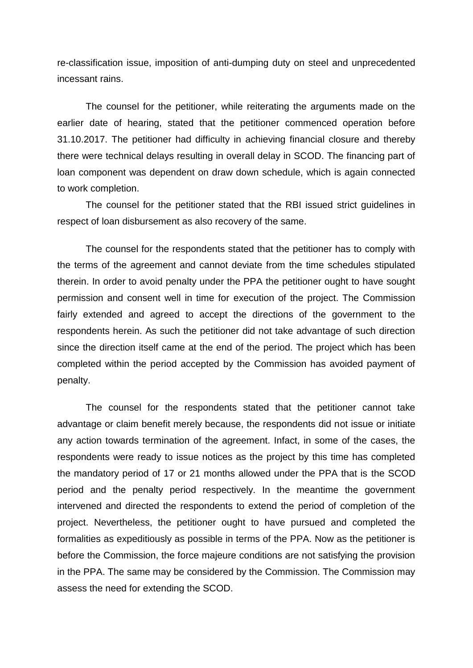re-classification issue, imposition of anti-dumping duty on steel and unprecedented incessant rains.

The counsel for the petitioner, while reiterating the arguments made on the earlier date of hearing, stated that the petitioner commenced operation before 31.10.2017. The petitioner had difficulty in achieving financial closure and thereby there were technical delays resulting in overall delay in SCOD. The financing part of loan component was dependent on draw down schedule, which is again connected to work completion.

The counsel for the petitioner stated that the RBI issued strict guidelines in respect of loan disbursement as also recovery of the same.

The counsel for the respondents stated that the petitioner has to comply with the terms of the agreement and cannot deviate from the time schedules stipulated therein. In order to avoid penalty under the PPA the petitioner ought to have sought permission and consent well in time for execution of the project. The Commission fairly extended and agreed to accept the directions of the government to the respondents herein. As such the petitioner did not take advantage of such direction since the direction itself came at the end of the period. The project which has been completed within the period accepted by the Commission has avoided payment of penalty.

The counsel for the respondents stated that the petitioner cannot take advantage or claim benefit merely because, the respondents did not issue or initiate any action towards termination of the agreement. Infact, in some of the cases, the respondents were ready to issue notices as the project by this time has completed the mandatory period of 17 or 21 months allowed under the PPA that is the SCOD period and the penalty period respectively. In the meantime the government intervened and directed the respondents to extend the period of completion of the project. Nevertheless, the petitioner ought to have pursued and completed the formalities as expeditiously as possible in terms of the PPA. Now as the petitioner is before the Commission, the force majeure conditions are not satisfying the provision in the PPA. The same may be considered by the Commission. The Commission may assess the need for extending the SCOD.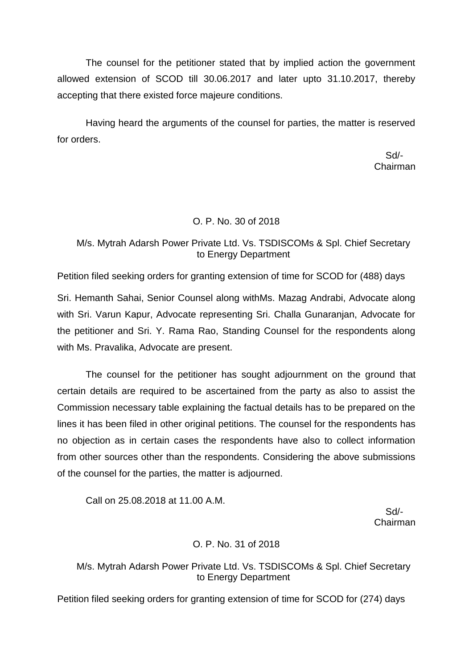The counsel for the petitioner stated that by implied action the government allowed extension of SCOD till 30.06.2017 and later upto 31.10.2017, thereby accepting that there existed force majeure conditions.

Having heard the arguments of the counsel for parties, the matter is reserved for orders.

 Sd/- Chairman

# O. P. No. 30 of 2018

# M/s. Mytrah Adarsh Power Private Ltd. Vs. TSDISCOMs & Spl. Chief Secretary to Energy Department

Petition filed seeking orders for granting extension of time for SCOD for (488) days

Sri. Hemanth Sahai, Senior Counsel along withMs. Mazag Andrabi, Advocate along with Sri. Varun Kapur, Advocate representing Sri. Challa Gunaranjan, Advocate for the petitioner and Sri. Y. Rama Rao, Standing Counsel for the respondents along with Ms. Pravalika, Advocate are present.

The counsel for the petitioner has sought adjournment on the ground that certain details are required to be ascertained from the party as also to assist the Commission necessary table explaining the factual details has to be prepared on the lines it has been filed in other original petitions. The counsel for the respondents has no objection as in certain cases the respondents have also to collect information from other sources other than the respondents. Considering the above submissions of the counsel for the parties, the matter is adjourned.

Call on 25.08.2018 at 11.00 A.M.

 Sd/- Chairman

# O. P. No. 31 of 2018

## M/s. Mytrah Adarsh Power Private Ltd. Vs. TSDISCOMs & Spl. Chief Secretary to Energy Department

Petition filed seeking orders for granting extension of time for SCOD for (274) days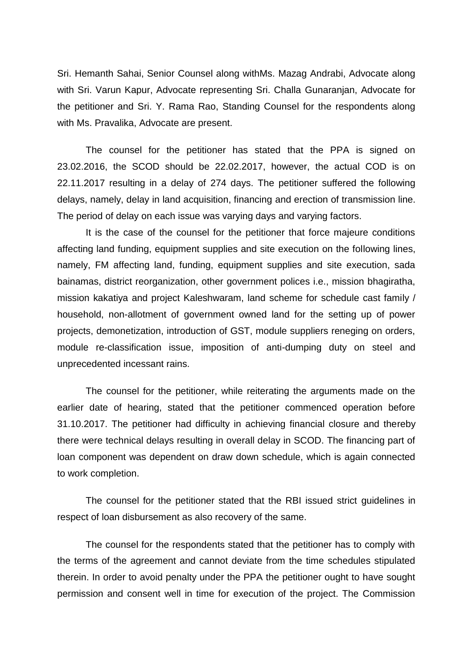Sri. Hemanth Sahai, Senior Counsel along withMs. Mazag Andrabi, Advocate along with Sri. Varun Kapur, Advocate representing Sri. Challa Gunaranjan, Advocate for the petitioner and Sri. Y. Rama Rao, Standing Counsel for the respondents along with Ms. Pravalika, Advocate are present.

The counsel for the petitioner has stated that the PPA is signed on 23.02.2016, the SCOD should be 22.02.2017, however, the actual COD is on 22.11.2017 resulting in a delay of 274 days. The petitioner suffered the following delays, namely, delay in land acquisition, financing and erection of transmission line. The period of delay on each issue was varying days and varying factors.

It is the case of the counsel for the petitioner that force majeure conditions affecting land funding, equipment supplies and site execution on the following lines, namely, FM affecting land, funding, equipment supplies and site execution, sada bainamas, district reorganization, other government polices i.e., mission bhagiratha, mission kakatiya and project Kaleshwaram, land scheme for schedule cast family / household, non-allotment of government owned land for the setting up of power projects, demonetization, introduction of GST, module suppliers reneging on orders, module re-classification issue, imposition of anti-dumping duty on steel and unprecedented incessant rains.

The counsel for the petitioner, while reiterating the arguments made on the earlier date of hearing, stated that the petitioner commenced operation before 31.10.2017. The petitioner had difficulty in achieving financial closure and thereby there were technical delays resulting in overall delay in SCOD. The financing part of loan component was dependent on draw down schedule, which is again connected to work completion.

The counsel for the petitioner stated that the RBI issued strict guidelines in respect of loan disbursement as also recovery of the same.

The counsel for the respondents stated that the petitioner has to comply with the terms of the agreement and cannot deviate from the time schedules stipulated therein. In order to avoid penalty under the PPA the petitioner ought to have sought permission and consent well in time for execution of the project. The Commission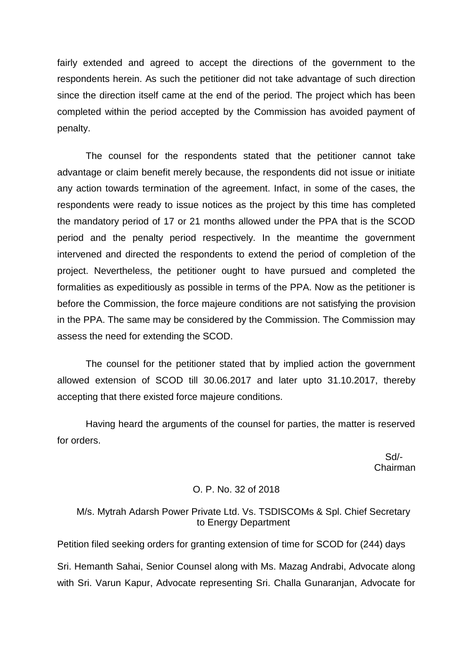fairly extended and agreed to accept the directions of the government to the respondents herein. As such the petitioner did not take advantage of such direction since the direction itself came at the end of the period. The project which has been completed within the period accepted by the Commission has avoided payment of penalty.

The counsel for the respondents stated that the petitioner cannot take advantage or claim benefit merely because, the respondents did not issue or initiate any action towards termination of the agreement. Infact, in some of the cases, the respondents were ready to issue notices as the project by this time has completed the mandatory period of 17 or 21 months allowed under the PPA that is the SCOD period and the penalty period respectively. In the meantime the government intervened and directed the respondents to extend the period of completion of the project. Nevertheless, the petitioner ought to have pursued and completed the formalities as expeditiously as possible in terms of the PPA. Now as the petitioner is before the Commission, the force majeure conditions are not satisfying the provision in the PPA. The same may be considered by the Commission. The Commission may assess the need for extending the SCOD.

The counsel for the petitioner stated that by implied action the government allowed extension of SCOD till 30.06.2017 and later upto 31.10.2017, thereby accepting that there existed force majeure conditions.

Having heard the arguments of the counsel for parties, the matter is reserved for orders.

 Sd/- Chairman

## O. P. No. 32 of 2018

### M/s. Mytrah Adarsh Power Private Ltd. Vs. TSDISCOMs & Spl. Chief Secretary to Energy Department

Petition filed seeking orders for granting extension of time for SCOD for (244) days Sri. Hemanth Sahai, Senior Counsel along with Ms. Mazag Andrabi, Advocate along with Sri. Varun Kapur, Advocate representing Sri. Challa Gunaranjan, Advocate for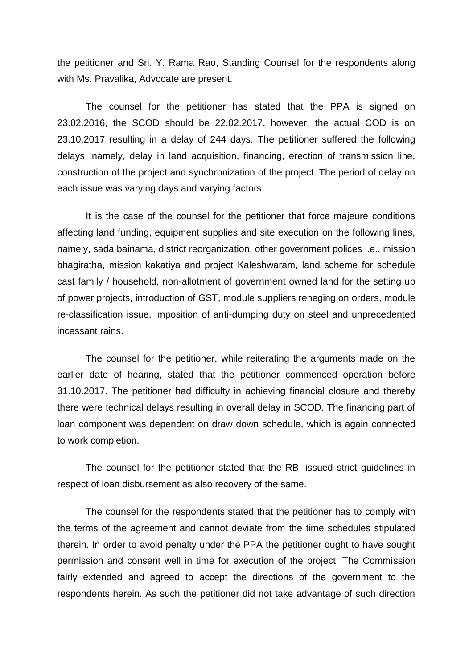the petitioner and Sri. Y. Rama Rao, Standing Counsel for the respondents along with Ms. Pravalika, Advocate are present.

The counsel for the petitioner has stated that the PPA is signed on 23.02.2016, the SCOD should be 22.02.2017, however, the actual COD is on 23.10.2017 resulting in a delay of 244 days. The petitioner suffered the following delays, namely, delay in land acquisition, financing, erection of transmission line, construction of the project and synchronization of the project. The period of delay on each issue was varying days and varying factors.

It is the case of the counsel for the petitioner that force majeure conditions affecting land funding, equipment supplies and site execution on the following lines, namely, sada bainama, district reorganization, other government polices i.e., mission bhagiratha, mission kakatiya and project Kaleshwaram, land scheme for schedule cast family / household, non-allotment of government owned land for the setting up of power projects, introduction of GST, module suppliers reneging on orders, module re-classification issue, imposition of anti-dumping duty on steel and unprecedented incessant rains.

The counsel for the petitioner, while reiterating the arguments made on the earlier date of hearing, stated that the petitioner commenced operation before 31.10.2017. The petitioner had difficulty in achieving financial closure and thereby there were technical delays resulting in overall delay in SCOD. The financing part of loan component was dependent on draw down schedule, which is again connected to work completion.

The counsel for the petitioner stated that the RBI issued strict guidelines in respect of loan disbursement as also recovery of the same.

The counsel for the respondents stated that the petitioner has to comply with the terms of the agreement and cannot deviate from the time schedules stipulated therein. In order to avoid penalty under the PPA the petitioner ought to have sought permission and consent well in time for execution of the project. The Commission fairly extended and agreed to accept the directions of the government to the respondents herein. As such the petitioner did not take advantage of such direction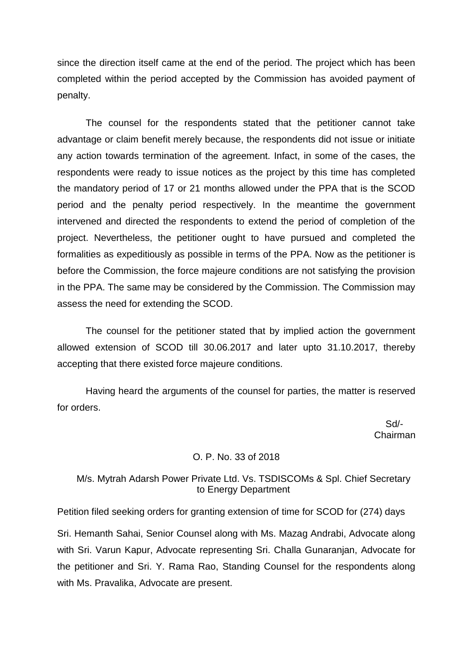since the direction itself came at the end of the period. The project which has been completed within the period accepted by the Commission has avoided payment of penalty.

The counsel for the respondents stated that the petitioner cannot take advantage or claim benefit merely because, the respondents did not issue or initiate any action towards termination of the agreement. Infact, in some of the cases, the respondents were ready to issue notices as the project by this time has completed the mandatory period of 17 or 21 months allowed under the PPA that is the SCOD period and the penalty period respectively. In the meantime the government intervened and directed the respondents to extend the period of completion of the project. Nevertheless, the petitioner ought to have pursued and completed the formalities as expeditiously as possible in terms of the PPA. Now as the petitioner is before the Commission, the force majeure conditions are not satisfying the provision in the PPA. The same may be considered by the Commission. The Commission may assess the need for extending the SCOD.

The counsel for the petitioner stated that by implied action the government allowed extension of SCOD till 30.06.2017 and later upto 31.10.2017, thereby accepting that there existed force majeure conditions.

Having heard the arguments of the counsel for parties, the matter is reserved for orders.

 Sd/- Chairman

### O. P. No. 33 of 2018

## M/s. Mytrah Adarsh Power Private Ltd. Vs. TSDISCOMs & Spl. Chief Secretary to Energy Department

Petition filed seeking orders for granting extension of time for SCOD for (274) days

Sri. Hemanth Sahai, Senior Counsel along with Ms. Mazag Andrabi, Advocate along with Sri. Varun Kapur, Advocate representing Sri. Challa Gunaranjan, Advocate for the petitioner and Sri. Y. Rama Rao, Standing Counsel for the respondents along with Ms. Pravalika, Advocate are present.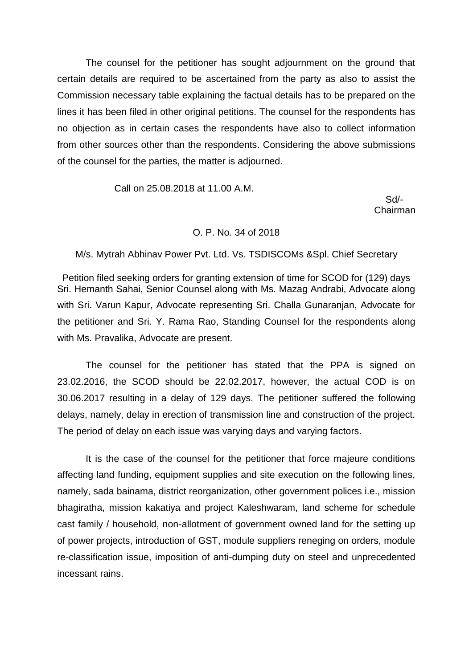The counsel for the petitioner has sought adjournment on the ground that certain details are required to be ascertained from the party as also to assist the Commission necessary table explaining the factual details has to be prepared on the lines it has been filed in other original petitions. The counsel for the respondents has no objection as in certain cases the respondents have also to collect information from other sources other than the respondents. Considering the above submissions of the counsel for the parties, the matter is adjourned.

Call on 25.08.2018 at 11.00 A.M.

 Sd/- Chairman

#### O. P. No. 34 of 2018

M/s. Mytrah Abhinav Power Pvt. Ltd. Vs. TSDISCOMs &Spl. Chief Secretary

Petition filed seeking orders for granting extension of time for SCOD for (129) days Sri. Hemanth Sahai, Senior Counsel along with Ms. Mazag Andrabi, Advocate along with Sri. Varun Kapur, Advocate representing Sri. Challa Gunaranjan, Advocate for the petitioner and Sri. Y. Rama Rao, Standing Counsel for the respondents along with Ms. Pravalika, Advocate are present.

The counsel for the petitioner has stated that the PPA is signed on 23.02.2016, the SCOD should be 22.02.2017, however, the actual COD is on 30.06.2017 resulting in a delay of 129 days. The petitioner suffered the following delays, namely, delay in erection of transmission line and construction of the project. The period of delay on each issue was varying days and varying factors.

It is the case of the counsel for the petitioner that force majeure conditions affecting land funding, equipment supplies and site execution on the following lines, namely, sada bainama, district reorganization, other government polices i.e., mission bhagiratha, mission kakatiya and project Kaleshwaram, land scheme for schedule cast family / household, non-allotment of government owned land for the setting up of power projects, introduction of GST, module suppliers reneging on orders, module re-classification issue, imposition of anti-dumping duty on steel and unprecedented incessant rains.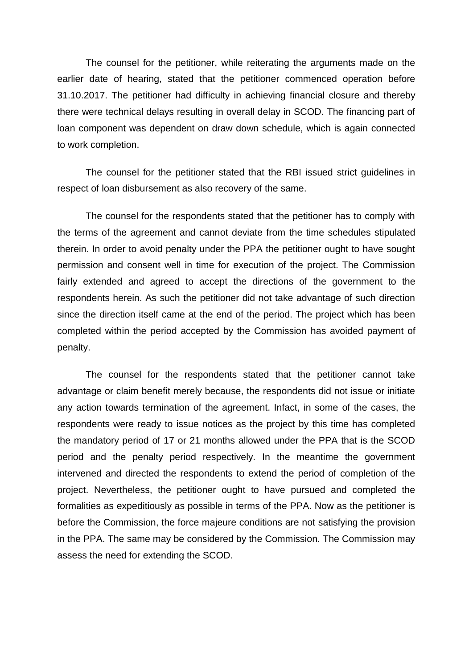The counsel for the petitioner, while reiterating the arguments made on the earlier date of hearing, stated that the petitioner commenced operation before 31.10.2017. The petitioner had difficulty in achieving financial closure and thereby there were technical delays resulting in overall delay in SCOD. The financing part of loan component was dependent on draw down schedule, which is again connected to work completion.

The counsel for the petitioner stated that the RBI issued strict guidelines in respect of loan disbursement as also recovery of the same.

The counsel for the respondents stated that the petitioner has to comply with the terms of the agreement and cannot deviate from the time schedules stipulated therein. In order to avoid penalty under the PPA the petitioner ought to have sought permission and consent well in time for execution of the project. The Commission fairly extended and agreed to accept the directions of the government to the respondents herein. As such the petitioner did not take advantage of such direction since the direction itself came at the end of the period. The project which has been completed within the period accepted by the Commission has avoided payment of penalty.

The counsel for the respondents stated that the petitioner cannot take advantage or claim benefit merely because, the respondents did not issue or initiate any action towards termination of the agreement. Infact, in some of the cases, the respondents were ready to issue notices as the project by this time has completed the mandatory period of 17 or 21 months allowed under the PPA that is the SCOD period and the penalty period respectively. In the meantime the government intervened and directed the respondents to extend the period of completion of the project. Nevertheless, the petitioner ought to have pursued and completed the formalities as expeditiously as possible in terms of the PPA. Now as the petitioner is before the Commission, the force majeure conditions are not satisfying the provision in the PPA. The same may be considered by the Commission. The Commission may assess the need for extending the SCOD.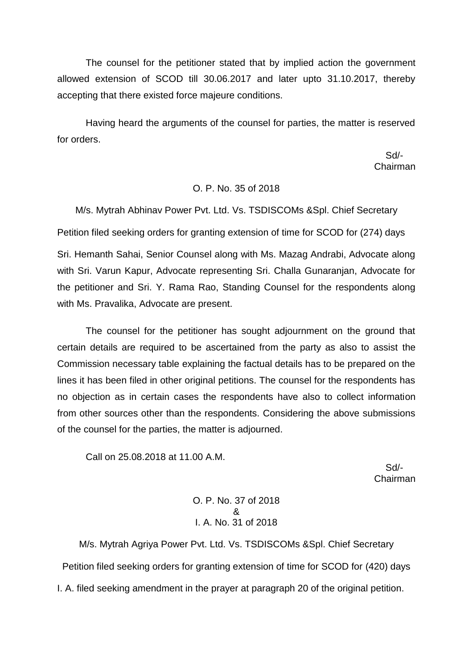The counsel for the petitioner stated that by implied action the government allowed extension of SCOD till 30.06.2017 and later upto 31.10.2017, thereby accepting that there existed force majeure conditions.

Having heard the arguments of the counsel for parties, the matter is reserved for orders.

 Sd/- Chairman

# O. P. No. 35 of 2018

M/s. Mytrah Abhinav Power Pvt. Ltd. Vs. TSDISCOMs &Spl. Chief Secretary Petition filed seeking orders for granting extension of time for SCOD for (274) days

Sri. Hemanth Sahai, Senior Counsel along with Ms. Mazag Andrabi, Advocate along with Sri. Varun Kapur, Advocate representing Sri. Challa Gunaranjan, Advocate for the petitioner and Sri. Y. Rama Rao, Standing Counsel for the respondents along with Ms. Pravalika, Advocate are present.

The counsel for the petitioner has sought adjournment on the ground that certain details are required to be ascertained from the party as also to assist the Commission necessary table explaining the factual details has to be prepared on the lines it has been filed in other original petitions. The counsel for the respondents has no objection as in certain cases the respondents have also to collect information from other sources other than the respondents. Considering the above submissions of the counsel for the parties, the matter is adjourned.

Call on 25.08.2018 at 11.00 A.M.

 Sd/- Chairman

> O. P. No. 37 of 2018 & I. A. No. 31 of 2018

M/s. Mytrah Agriya Power Pvt. Ltd. Vs. TSDISCOMs &Spl. Chief Secretary Petition filed seeking orders for granting extension of time for SCOD for (420) days I. A. filed seeking amendment in the prayer at paragraph 20 of the original petition.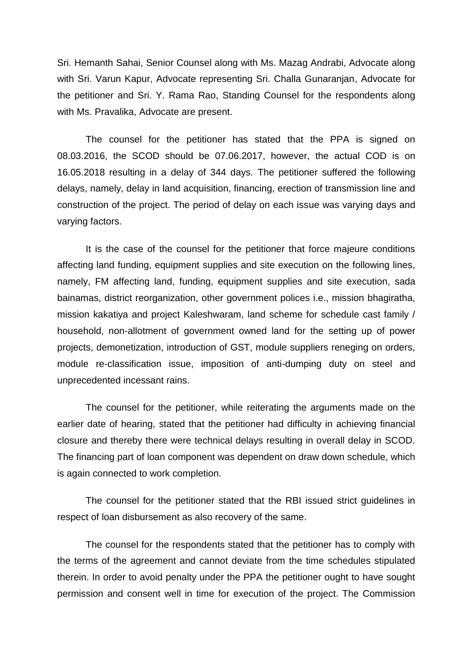Sri. Hemanth Sahai, Senior Counsel along with Ms. Mazag Andrabi, Advocate along with Sri. Varun Kapur, Advocate representing Sri. Challa Gunaranjan, Advocate for the petitioner and Sri. Y. Rama Rao, Standing Counsel for the respondents along with Ms. Pravalika, Advocate are present.

The counsel for the petitioner has stated that the PPA is signed on 08.03.2016, the SCOD should be 07.06.2017, however, the actual COD is on 16.05.2018 resulting in a delay of 344 days. The petitioner suffered the following delays, namely, delay in land acquisition, financing, erection of transmission line and construction of the project. The period of delay on each issue was varying days and varying factors.

It is the case of the counsel for the petitioner that force majeure conditions affecting land funding, equipment supplies and site execution on the following lines, namely, FM affecting land, funding, equipment supplies and site execution, sada bainamas, district reorganization, other government polices i.e., mission bhagiratha, mission kakatiya and project Kaleshwaram, land scheme for schedule cast family / household, non-allotment of government owned land for the setting up of power projects, demonetization, introduction of GST, module suppliers reneging on orders, module re-classification issue, imposition of anti-dumping duty on steel and unprecedented incessant rains.

The counsel for the petitioner, while reiterating the arguments made on the earlier date of hearing, stated that the petitioner had difficulty in achieving financial closure and thereby there were technical delays resulting in overall delay in SCOD. The financing part of loan component was dependent on draw down schedule, which is again connected to work completion.

The counsel for the petitioner stated that the RBI issued strict guidelines in respect of loan disbursement as also recovery of the same.

The counsel for the respondents stated that the petitioner has to comply with the terms of the agreement and cannot deviate from the time schedules stipulated therein. In order to avoid penalty under the PPA the petitioner ought to have sought permission and consent well in time for execution of the project. The Commission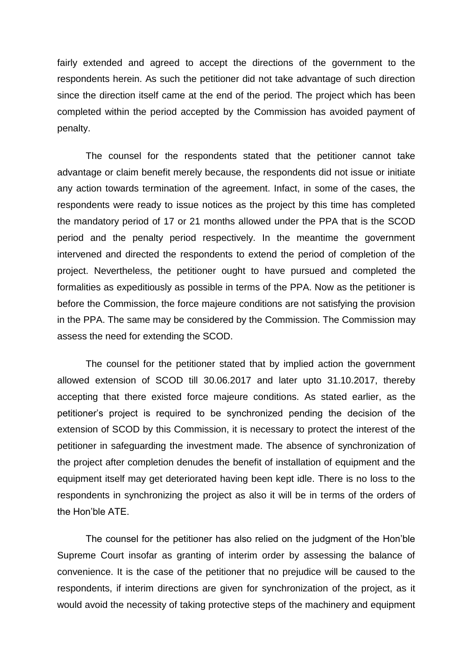fairly extended and agreed to accept the directions of the government to the respondents herein. As such the petitioner did not take advantage of such direction since the direction itself came at the end of the period. The project which has been completed within the period accepted by the Commission has avoided payment of penalty.

The counsel for the respondents stated that the petitioner cannot take advantage or claim benefit merely because, the respondents did not issue or initiate any action towards termination of the agreement. Infact, in some of the cases, the respondents were ready to issue notices as the project by this time has completed the mandatory period of 17 or 21 months allowed under the PPA that is the SCOD period and the penalty period respectively. In the meantime the government intervened and directed the respondents to extend the period of completion of the project. Nevertheless, the petitioner ought to have pursued and completed the formalities as expeditiously as possible in terms of the PPA. Now as the petitioner is before the Commission, the force majeure conditions are not satisfying the provision in the PPA. The same may be considered by the Commission. The Commission may assess the need for extending the SCOD.

The counsel for the petitioner stated that by implied action the government allowed extension of SCOD till 30.06.2017 and later upto 31.10.2017, thereby accepting that there existed force majeure conditions. As stated earlier, as the petitioner's project is required to be synchronized pending the decision of the extension of SCOD by this Commission, it is necessary to protect the interest of the petitioner in safeguarding the investment made. The absence of synchronization of the project after completion denudes the benefit of installation of equipment and the equipment itself may get deteriorated having been kept idle. There is no loss to the respondents in synchronizing the project as also it will be in terms of the orders of the Hon'ble ATE.

The counsel for the petitioner has also relied on the judgment of the Hon'ble Supreme Court insofar as granting of interim order by assessing the balance of convenience. It is the case of the petitioner that no prejudice will be caused to the respondents, if interim directions are given for synchronization of the project, as it would avoid the necessity of taking protective steps of the machinery and equipment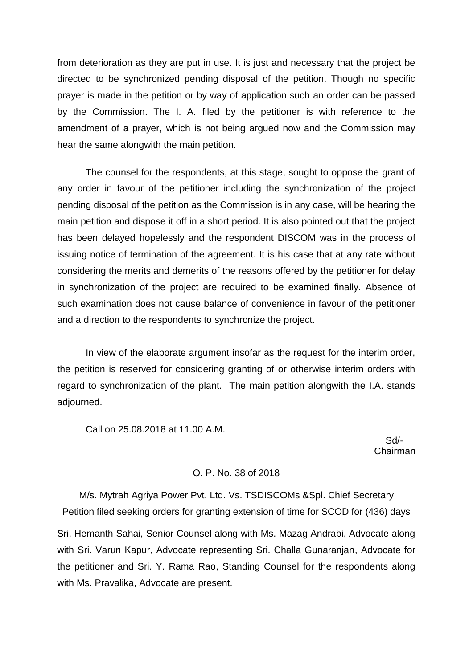from deterioration as they are put in use. It is just and necessary that the project be directed to be synchronized pending disposal of the petition. Though no specific prayer is made in the petition or by way of application such an order can be passed by the Commission. The I. A. filed by the petitioner is with reference to the amendment of a prayer, which is not being argued now and the Commission may hear the same alongwith the main petition.

The counsel for the respondents, at this stage, sought to oppose the grant of any order in favour of the petitioner including the synchronization of the project pending disposal of the petition as the Commission is in any case, will be hearing the main petition and dispose it off in a short period. It is also pointed out that the project has been delayed hopelessly and the respondent DISCOM was in the process of issuing notice of termination of the agreement. It is his case that at any rate without considering the merits and demerits of the reasons offered by the petitioner for delay in synchronization of the project are required to be examined finally. Absence of such examination does not cause balance of convenience in favour of the petitioner and a direction to the respondents to synchronize the project.

In view of the elaborate argument insofar as the request for the interim order, the petition is reserved for considering granting of or otherwise interim orders with regard to synchronization of the plant. The main petition alongwith the I.A. stands adjourned.

Call on 25.08.2018 at 11.00 A.M.

 Sd/- Chairman

### O. P. No. 38 of 2018

M/s. Mytrah Agriya Power Pvt. Ltd. Vs. TSDISCOMs &Spl. Chief Secretary Petition filed seeking orders for granting extension of time for SCOD for (436) days

Sri. Hemanth Sahai, Senior Counsel along with Ms. Mazag Andrabi, Advocate along with Sri. Varun Kapur, Advocate representing Sri. Challa Gunaranjan, Advocate for the petitioner and Sri. Y. Rama Rao, Standing Counsel for the respondents along with Ms. Pravalika, Advocate are present.